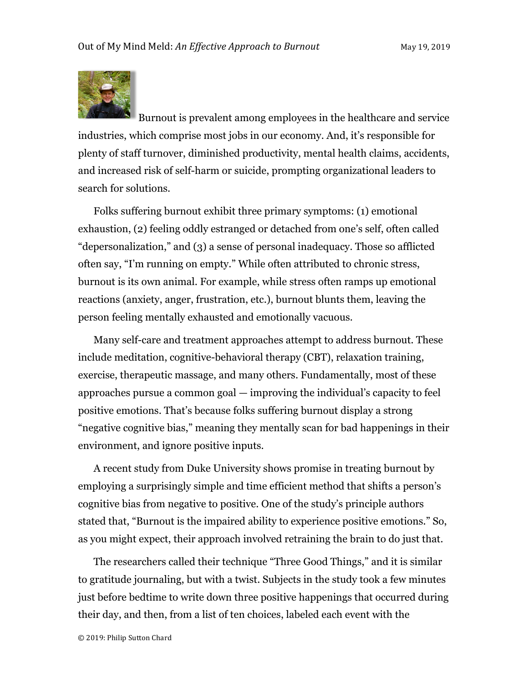

Burnout is prevalent among employees in the healthcare and service industries, which comprise most jobs in our economy. And, it's responsible for plenty of staff turnover, diminished productivity, mental health claims, accidents, and increased risk of self-harm or suicide, prompting organizational leaders to search for solutions.

Folks suffering burnout exhibit three primary symptoms: (1) emotional exhaustion, (2) feeling oddly estranged or detached from one's self, often called "depersonalization," and (3) a sense of personal inadequacy. Those so afflicted often say, "I'm running on empty." While often attributed to chronic stress, burnout is its own animal. For example, while stress often ramps up emotional reactions (anxiety, anger, frustration, etc.), burnout blunts them, leaving the person feeling mentally exhausted and emotionally vacuous.

Many self-care and treatment approaches attempt to address burnout. These include meditation, cognitive-behavioral therapy (CBT), relaxation training, exercise, therapeutic massage, and many others. Fundamentally, most of these approaches pursue a common goal — improving the individual's capacity to feel positive emotions. That's because folks suffering burnout display a strong "negative cognitive bias," meaning they mentally scan for bad happenings in their environment, and ignore positive inputs.

A recent study from Duke University shows promise in treating burnout by employing a surprisingly simple and time efficient method that shifts a person's cognitive bias from negative to positive. One of the study's principle authors stated that, "Burnout is the impaired ability to experience positive emotions." So, as you might expect, their approach involved retraining the brain to do just that.

The researchers called their technique "Three Good Things," and it is similar to gratitude journaling, but with a twist. Subjects in the study took a few minutes just before bedtime to write down three positive happenings that occurred during their day, and then, from a list of ten choices, labeled each event with the